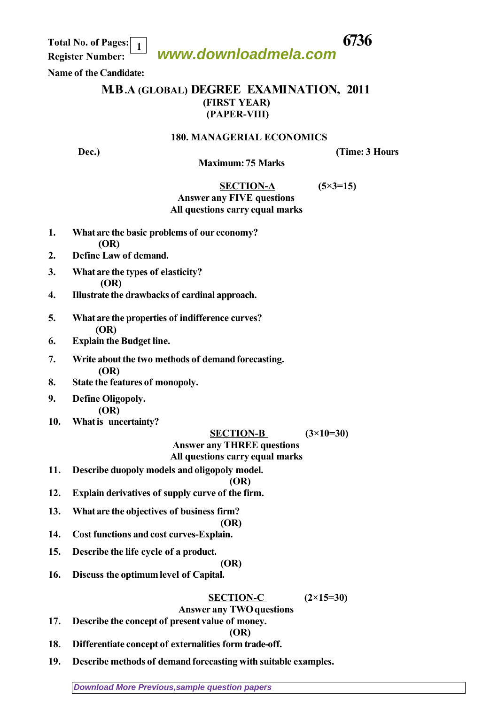**www.downloadmela.com Total No. of Pages: 6736 1**

 **Register Number:** 

## **Name of the Candidate:**

## **M.B.A (GLOBAL) DEGREE EXAMINATION, 2011 (FIRST YEAR) (PAPER-VIII)**

### **180. MANAGERIAL ECONOMICS**

**Dec.)** (Time: 3 Hours

## **Maximum: 75 Marks**

# **SECTION-A (5×3=15)**

### *Answer any FIVE questions All questions carry equal marks*

- **1. What are the basic problems of our economy? (OR)**
- **2. Define Law of demand.**
- **3. What are the types of elasticity? (OR)**
- **4. Illustrate the drawbacks of cardinal approach.**
- **5. What are the properties of indifference curves? (OR)**
- **6. Explain the Budget line.**
- **7. Write about the two methods of demand forecasting. (OR)**
- **8. State the features of monopoly.**
- **9. Define Oligopoly.**

 **(OR)**

**10. What is uncertainty?**

### **SECTION-B (3×10=30)**

## *Answer any THREE questions*

### *All questions carry equal marks*

**11. Describe duopoly models and oligopoly model.**

### **(OR)**

- **12. Explain derivatives of supply curve of the firm.**
- **13. What are the objectives of business firm?**

## **(OR)**

- **14. Cost functions and cost curves-Explain.**
- **15. Describe the life cycle of a product.**

## **(OR)**

**16. Discuss the optimum level of Capital.**

## **SECTION-C (2×15=30)**

## *Answer any TWO questions*

**17. Describe the concept of present value of money.**

**(OR)**

- **18. Differentiate concept of externalities form trade-off.**
- **19. Describe methods of demand forecasting with suitable examples.**